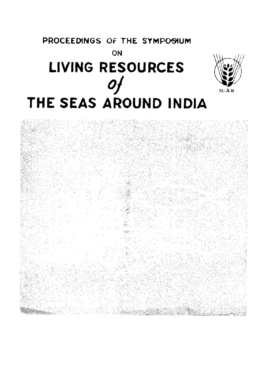# PROCEEDINGS OF THE SYMPOSIUM ON LIVING RESOURCES THE SEAS AROUND INDIA



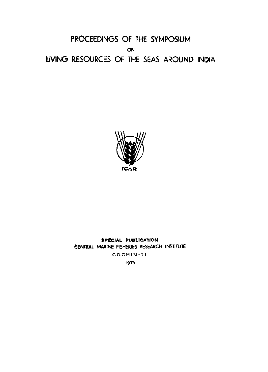**PROCEEDINGS OF THE SYMPOSIUM ON LIVING RESOURCES OF THE SEAS AROUND INDIA** 



# SPECIAL PUBLICATION **CENTRAL MARINE FISHERIES RESEARCH INSTITUTE**

**COCHIN- 1 1** 

**1973** 

 $\sim$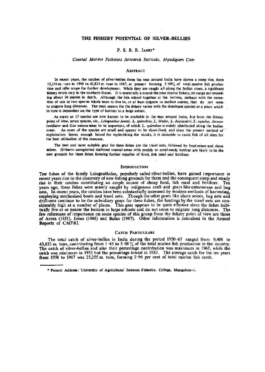#### P. S. **B. R.** JAMES\*

#### *Central Marine Fisheries Research Institute, Mandapam Cam*

#### ABSTRACT

In recent years, the catches of silver-bellies from the seas around India have shown a steep rise, from 15,274 m. tons in 1950 to 43,823 m. tons in 1967, at present forming 5 08% of total marine fish production and offer scope for further development. While they are caught all along the Indian coast, a significant fishery exists only in the southern States. It is essentially a round-the-year coastal fisheiy, its range not exceeding about 30 metres in depth. Although the fish school together at the bottom, perhaps with the exception of one or two species which seem to live in, or at least migrate to surface waters, they do not seem to migrate long distances. The peak season for the fishery varies with the dominant species at a place which in turn is dependent on the type of bottom to a large extent.

As many as 17 species are now known to be available in the seas around India, but from the fishery point of view, seven species, *viz., Leiognathus jonesi, L. splendens, L. bindus, L. dussumieri, L. equulus, Secutor insidiator* and *Gaz minuta* seem to be important, of which *L. splendens* is widely distributed along the Indian coast. As most of the species are small and appear to be short-lived, and since the present method of exploitation leaves enough brood for replenishing the stocks, it is desirable to catch fish of all sizes for the best utilisation of the resource.

The best and most suitable gear for these fishes are the trawl nets, followed by boat seines and shore seines. Hitherto unexploited sheltered coastal areas with muddy or coral-sandy bottom are likely to be the new grounds for these fishes forming further supplies of food, fish meal and fertilizer.

#### **INTRODUCTION**

**THE** fishes of the family Leiognathidae, popularly called silver-bellies, have gained importance in recent years due to the discovery of new fishing grounds for them and the consequent steep and steady rise in their catches constituting an ample source of cheap food, fish meal and fertilizer. Ten years ago, these fishes were mainly caught by indigenous craft and gears like catamarans and bag nets. In recent years, the catches have been substantially increased by modern methods of harvesting, employing mechanised boats and trawl nets. Though the other gears like shore seines, bag nets and drift-nets continue to be the subsidiary gears for these fishes, the landings by the traw! nets are considerably high at a number of places. This gear appears to be quite effective since the fishes habitually live at or nearer the bottom in large schools and do not seem to migrate long distances. The few references of importance on some species of this group from the fishery point of view are those of Arora (1951), Jones (1966) and Balan (1967). Other information is contained in the Annual Reports of CMFRI.

#### CATCH PARTICULARS

The total catch of silver-bellies in India during the period 1950-67 ranged from 9,408 to 43,823 m. tons, contributing from 1 -45 to 5-08 % of the total marine fish production in the country. The catch of silver-bellies and also their percentage contribution was maximum in 1967, while the catch was minimum in 1953 but the percentage lowest in 1957. The average catch for the ten years **from** 1958 to 1967 was 23,255 m. tons, forming 2-96 per cent of total marine fish catch.

<sup>•</sup> Present Address: University of Agricultural Sciences Fisheries, College, Mangalere-1.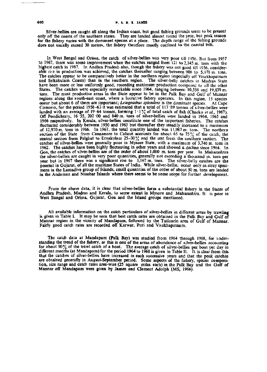Silver-bellies are caught all along the Indian coast, but good fishing grounds seem to be present only off the coasts of the southern states. They are landed almost round the year, but peak season for the fishery varies with the dominant species at a place. The depth range of the fishing grounds does not usually exceed 30 metres, the fishery therefore mostly confined to the coastal belt,

In West Bengal and Orissa, the catch of silver-bellies was very poor till 1956. But from 1957 to 1967, there was some improvement when the catches ranged from 121 to 2,145 m. tons with the highest catch in 1967. In Andhra Pradesh also, though the fishery was not good till 1956, considerable rise in production was achieved, the catches thereafter ranging between 908 to 5,978 m. tons. The catches appear to be comparatively better in the northern region (especially *oi]'* Visakhapatnam and Srikakulam Coasts) than in the southern region. The silver-belly catches in Madras State have been more or less uniformly good, recording maximum production compared to all the other States. The catches were especially remarkable since 1964, ranging between 10,556 and 19,839 m. tons. The most productive areas in the State appear to be in the Palk Bay and Gulf of Mannar regions along the south-east coast, where a lucrative fishery operates. In this region, 15 species occur but about 6 of them are important; *Leiognathus splendens* is the dominant species. At Cape Comorin, for the period 1958-63 it was estimated that a total of 117 89 tonnes of silver-bellies were landed with an average of 19:64 tonnes, forming  $1 \cdot 1\%$  of total catch of fish (Chacko *et al.*, 1967). Off Pondicherry, 16 55, 202 00 and 840 m. tons of silver-bellies were landed in 1964, 1965 and 1966 respectively. In Kerala, silver-bellies constitute one of the important fisheries. The catches fluctuated considerably between 1950 and 1963 but thereafter they steadily increased to a maximum of 12,970 m. tons in 1966. In 1967, the total quantity landed was 11,987 m. tons. The northern section of the State from Cannanore to Calicut accounts for about 65 to  $75\%$  of the catch, the central section from Palghat to Ernakulam  $25-30\%$  and the rest from the southern section. The catches of silver-bellies were generally poor in Mysore State, with a maximum of 3,746 m. tons in 1962. The catches have been highly fluctuating in other years and showed a decline since 1964. In Goa, the catches of silver-bellies are of the order of about 1,000 m. tons per year. In Maharashtra the silver-bellies are caught in very poor quantities, generally not exceeding a thousand m. tons per year but in 1967 there was a significant rise to 3,167 m. tons. The silver-belly catches are the poorest in Gujarat, of all the maritime States of India. While silver-bellicu occur only as stray specimens in the Laccadive group of Islands, small quantities of the order of about 50 m. tons are landed in the Andaman and Nicobar Islands where there seems to be some scope for further development.

From the above data, it is clear that silver-bellies form a substantial fishery in the States of Andhra Pradesh, Madras and Kerala, to some extent in Mysore and Maharashtra. It is poor in West Bangal and Orissa, Gujarat, Goa and the Island groups mentioned.

All available information on the catch particulars of silver-bellies in different areas by trawling is given in Table I. It may be seen that best catch rates are obtained in the Palk Bay and Gulf of Mannar region in the vicinity of Mandapam, followed by the Tuticorin area of Gulf of Mannar. Fairly good catch rates are recorded off Karwar, Puri and Visakhapatnam.

The catch data at Mandapam (Palk Bay) was studied from 1964 through 1968, for understanding the trend of the fishery, as this is one of the areas of abundance of silver-bellies accounting for about 90% of the trawl catch of a boat. The average catch of silver-bellies per boat per day in different months (at Mandapam) for the period 1964 to 1968 is given in Table II. It is clear from this that the catches of silver-bellies have increased in each successive years and that the peak catches are obtained generally in August-September period. Some aspects of the fishery, species composition, size range and catch rates area-wise (25 square miles each) in the Palk Bay and the Gulf of Mannar off Mandapam were given by James and Clement Adolph (MS, 1966).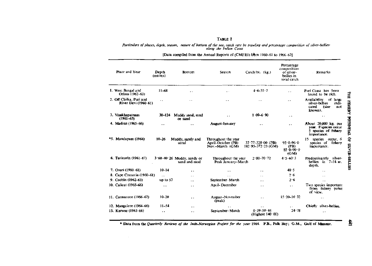### TABLE I

*Particulars of places, depth, season, nature of bottom of the sea, catch rate by trawling and percentage composition of silver-bellies: along the Indian Coast* 

[Data compiled from the Annual Reports of (CMFRl) fifem 1960-61 to 1966-67[

| Place and Year                                  | Depth<br>(metres)    | <b>Bottom</b>                                  | Season                                                       | Catch hr. (kg.)                                             | Percentage<br>composition<br>of silver-<br>bellies in<br>total catch | Remarks                                                                                 |
|-------------------------------------------------|----------------------|------------------------------------------------|--------------------------------------------------------------|-------------------------------------------------------------|----------------------------------------------------------------------|-----------------------------------------------------------------------------------------|
| 1. West Bengal and<br>Orissa (1962–63)          | $11 - 68$            |                                                | $\ddot{\phantom{a}}$                                         | $4.6 - 35 - 7$                                              | a.                                                                   | Puri Coast has been<br>found to be rich.                                                |
| 2. Off Chilka. Puri and<br>River Devi (1960–61) | $\ddot{\phantom{1}}$ | $\sim$ $\sim$                                  | $\ddot{\phantom{1}}$                                         | $\ddot{\phantom{1}}$                                        | $\ddot{\phantom{0}}$                                                 | Availability<br>of large<br>silver-bellies<br>indi-<br>cated<br>(size<br>not<br>known). |
| 3. Visakhapatnam<br>$(1961 - 63)$               | $30 - 124$           | Muddy sand, mud<br>or sand                     | $\ddot{\phantom{0}}$                                         | $1.09 - 6.90$                                               | $-+$                                                                 | $\ddot{\phantom{1}}$                                                                    |
| 4. Madras (1965-66).                            | . .                  |                                                | August-January                                               | . .                                                         | $\ddot{\phantom{a}}$                                                 | About 20,000 kg, per<br>year. 8 species occur<br>5 species of fishery<br>importance.    |
| *5. Mandapam (1964)                             | $10 - 26$            | Muddy, sandy and<br>coral                      | Throughout the year<br>April-October (PB)<br>Nov.-March (GM) | $37 \cdot 77 - 320 \cdot 00$ (PB)<br>$182.95 - 372.23$ (GM) | $92.0 - 96.0$<br>(PB)<br>$85.0 - 90.0$<br>(GM)                       | 15.<br>species occur. 6<br>species of fishery<br>importance.                            |
| 6. Tuticorin (1961-67)                          |                      | $3.60 - 40.26$ Muddy, sandy or<br>sand and mud | Throughout the year<br>Peak January-March                    | $2.80 - 70.72$                                              | $4.5 - 60.3$                                                         | Predominantly silver-<br>bellies in $7-14$ m.<br>depth.                                 |
| 7. Overi (1960–61)                              | $10 - 14$            | $\ddot{\phantom{1}}$                           | $\ddot{\phantom{1}}$                                         | $\ddot{\phantom{0}}$                                        | 48.5                                                                 |                                                                                         |
| 8. Cape Comorin (1960-61)                       | $\ddot{\phantom{0}}$ | $\sim$ $\sim$                                  | $\ddot{\phantom{0}}$                                         | $\ddot{\phantom{0}}$                                        | 2.6                                                                  | . .                                                                                     |
| 9. Cochin (1962-63)                             | up to $57$           | . .                                            | September-March                                              | . .                                                         | 2.6                                                                  |                                                                                         |
| 10. Calicut (1965–66)                           | $\ddot{\phantom{1}}$ | $\ddotsc$                                      | April-December                                               | $\ddot{\phantom{0}}$                                        | $\ddot{\phantom{1}}$                                                 | Two species important<br>from fishery point<br>of view.                                 |
| 11. Cannanore (1966–67)                         | $10 - 20$            | $\ddot{\phantom{a}}$                           | August-November<br>(peak)                                    | $\ddot{\phantom{a}}$                                        | $15 \cdot 20 - 16 \cdot 32$                                          | $\bullet$ $\bullet$                                                                     |
| 12. Mangalere (1964–66)                         | $11 - 54$            | $\ddot{\phantom{a}}$                           | $\ddot{\phantom{1}}$                                         | . .                                                         | $\ddot{\phantom{1}}$                                                 | Chiefly silver-bellies.                                                                 |
| 13. Karwar (1963-66)                            | . .                  | . .                                            | September-March                                              | $0.39 - 50.44$<br>(Highest $140 \cdot 00$ )                 | $24 - 78$                                                            | $\ddot{\phantom{1}}$                                                                    |

Data from the Ouarrer/y *Reviews of the Indo.Norwegian Project for the year* 1964. P.B., Palk Bay; G.M., Gulf of Mannar.

 $\sim 10^7$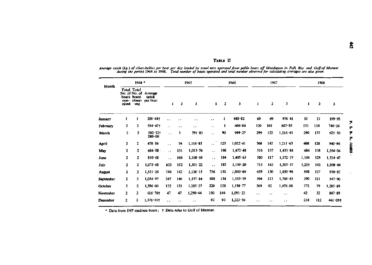**• • •** 

**V 1** 

|     | 1967 |                  | 1968  |     |                  |  |  |  |  |
|-----|------|------------------|-------|-----|------------------|--|--|--|--|
| ı   | 2    | 3                | 1     | 2   | 3                |  |  |  |  |
| 69  | 69   | 976-41           | 51    | 51  | 199.95           |  |  |  |  |
| 120 | 101  | 882.85           | 151   | 124 | 740.24           |  |  |  |  |
| 299 | 122  | 1,216.45         | 290   | 137 | 625.50           |  |  |  |  |
| 308 | 142  | 1,211.63         | 608   | 128 | 940.96           |  |  |  |  |
| 516 | 137  | $1.433 - 84$     | 684   | 138 | $1.356 \cdot 04$ |  |  |  |  |
| 580 | 117  | $1,572 \cdot 19$ | 1,104 | 129 | 1,524.47         |  |  |  |  |
| 713 | 143  | 1,505.57         | 1,219 | 143 | $1.108 \cdot 44$ |  |  |  |  |
| 659 | 130  | 1,850.96         | 958   | 137 | $970 - 87$       |  |  |  |  |
| 504 | 113  | 1,786.43         | 290   | 121 | 547.90           |  |  |  |  |

## **TABLE II**

 $\sim$ 

Average catch (kg.) of silver-bellies per boat per day landed by trawl nets operated from pablo boats off Mandapam in Palk Bay and Gulf of Mannar<br>during the period 1964 to 1968. Total number of boats operated and total n

|                | $1964*$       |                                   |                                                   | 1965                 |                      |                      | 1966                 |                |                  | 1967                 |                      |                      | 1968  |              |            |
|----------------|---------------|-----------------------------------|---------------------------------------------------|----------------------|----------------------|----------------------|----------------------|----------------|------------------|----------------------|----------------------|----------------------|-------|--------------|------------|
| Month          | ope-<br>rated | Total Total<br>boats boats<br>vođ | No. of No. of Average<br>catch<br>obser- per boat | 1                    | $\overline{2}$       | 3                    | $\mathbf{1}$         | $\overline{2}$ | 3                | 1                    | $\mathbf{z}$         | 3                    | 1     | $\mathbf{2}$ | 3          |
| <b>January</b> |               |                                   | $209.64$ †                                        |                      |                      | $\ddot{\phantom{1}}$ | $\ddot{\phantom{1}}$ | 1              | $480 - 82$       | 69                   | 69                   | 976 41               | 51    | 51           | 199.95     |
| February       | $\mathbf{2}$  | 2                                 | $554.47+$                                         | $\cdot$ .            | . .                  | $\cdot$ .            | . .                  |                | 406.84           | 120                  | 101                  | 882.85               | 151   | 124          | 740.24     |
| March          | 2             | 2                                 | $502.32+$<br>580.00                               | $\sim$ $\sim$        | t                    | 791.85               | $\ddot{\phantom{0}}$ | 90             | 999.27           | 299                  | 122                  | 1,216.45             | 290   | 137          | 625.50     |
| April          | 2             | 2                                 | 478.56                                            | $\ddot{\phantom{1}}$ | 74                   | 1,116.85             | $\ddot{\phantom{0}}$ | 123            | $1,022 \cdot 41$ | 308                  | 142                  | 1,211.63             | 608   | 128          | 940.96     |
| May            | $\mathbf{2}$  | 2                                 | 686.08                                            | $\ddot{\phantom{a}}$ | 151                  | 1,013.74             | $\ddot{\phantom{a}}$ | 198            | $1,472 \cdot 48$ | 516                  | 137                  | 1,433.84             | 684   | 138          | 1,356.04   |
| June           | $\mathbf{2}$  | 2                                 | 810.68                                            | $\ddot{\phantom{1}}$ | 166                  | 1,168.64             | $\ddot{\phantom{a}}$ | 184            | 1,405.63         | 580                  | 117                  | $1,572 \cdot 19$     | 1,104 | 129          | 1,524.47   |
| July           | $\mathbf{z}$  | 2                                 | 1,075.68                                          | 623                  | 152                  | $1,301 \cdot 22$     | $\ddot{\phantom{0}}$ | 185            | 1,159.20         | 713                  | 143                  | 1,505.57             | 1,219 | 143          | 1,108.44   |
| August         | $\mathbf{z}$  | 2                                 | 1,511.24                                          | 746                  | 142                  | 1,136.15             | 756                  | 150            | 1,050.60         | 659                  | 130                  | 1,850.96             | 958   | 137          | $970 - 87$ |
| September      | 2             | 2                                 | 1,034.97                                          | 367                  | 146                  | 1,337.84             | 488                  | 134            | 1,533.39         | 504                  | 113                  | 1,786.43             | 290   | 121          | 547.90     |
| October        | 2             | 2                                 | $1.396 \cdot 00$                                  | 122                  | 121                  | $1,285 \cdot 27$     | 220                  | 128            | $1,198 \cdot 77$ | 369                  | 92                   | 1,476.08             | 372   | 79           | 1,283.89   |
| November       | 2             | 2                                 | $616.70+$                                         | 47                   | 47                   | $1,290 - 44$         | 150                  | 144            | $1,091 - 23$     | . .                  | $\cdots$             | $\ddot{\phantom{1}}$ | 42    | 32           | 847.89     |
| December       | 2             | 2                                 | $1,376.45$ †                                      | $\ddot{\phantom{1}}$ | $\ddot{\phantom{1}}$ | $\ddot{\phantom{1}}$ | 92                   | 92             | 1,223.56         | $\ddot{\phantom{1}}$ | $\ddot{\phantom{1}}$ | $\ddot{\phantom{1}}$ | 218   | 112          | 461.091    |

 $\sim$ 

*\** Data from INP medium boats; t Data refer to Gulf of Mannar.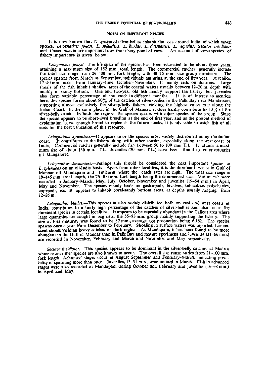#### NOTES ON IMPORTANT SPECIES

It is now known that 17 species of silver-bellies inhabit the seas around India, of which seven species, *Leiognathus Jonesi, L. splendens, L. bindus, L. dussumieri,. L. equulus, Secutor insidiator*  and *Gazza minuta* are important from the fishery point of view. An account of some species of fishery importance is given below:

*Leiognathus jonesi*—The life span of the species has been estimated to be about three years, attaining a maximum size of 152 mm. total length. The commercial catches generally include the total size range from 26-100 mm. fork length, with 40-75 mm. size group dominant. The species spawns from March to September, individuals maturing at the end of first year. Juveniles, 17-40 mm. occur from January-June, October-November. It mainly feeds on diatoms. Large shoals of the fish inhabit shallow areas of the coastal waters usually between 12-20 m. depth with muddy or sandy bottom. One and two-year old fish mainly support the fishery but juveniles also form variable percentage of the catch in different months. It is of interest to mention also form variable percentage of the catch in different months. here, this species forms about 90% of the catches of silver-bellies in the Palk Bay near Mandapam, supporting almost exclusively the silvery-belly fishery, yielding the highest catch rate along the Indian Coast. In the same place, in the Gulf of Mannar, it does hardly contribute to  $10\%$  of the silver-belly catch. In both the regions, the species occurs with other species of the group. Since the species appears to be short-lived breeding at the end of first year, and as the present method of exploitation leaves enough brood to replenish the future stocks, it is advisable to catch fish of all sizes for the best utilization of this resource.

*Leiognathus splendens.*—It appears to be the species most widely distributed along the Indian coast. It contributes to the fishery along with other species, especially along the west coast of India. Commercial catches generally include fish between 50 to 100 mm T.L. It attains a maxi-Commercial catches generally include fish between 50 to 100 mm T.L. It attains a maximum size of about 150 mm. T.L. Juveniles f30 mm. T.L.) have been found to enter estuaries (at Mangalore).

*Leiognathus dussumieri.*—Perhaps this should be considered the next important species to *L. splendens* on an all-India basis. Apart from other localities, it is the dominant species in Gulf of Mannar off Mandapam and Tuticorin where the catch rates are high. The total size range is 19-145 mm. total length, the 75-100 mm. fork length being the commercial size. Mature fish were recorded in January-March, May, July, October, November and juveniles (19-54 mm.) in April, May and November. The species mainly feeds on gastropods, bivalves, tubiculous polychaetes, copepods, etc. It appears to inhabit coral-sandy bottom areas, at depths usually ranging from  $12 - 26$  m.

*Leiognathus bindus.*—This species is also widely distributed both on east and west coasts of India, contributes to a fairly high percentage of the catches of silver-bellies and also forms the dominant species in certain localities. It appears to be especially abundant in the Calicut area where large quantities are caught in bag nets, the 55-95 mm. group mainly supporting the fishery. The size at first maturity was found to be 87 mm., average egg production being 6,162. The species spawns once a year from December to February. Shoaling in surface waters was reported, luminescent shoals yielding heavy catches on dark nights. At Mandapam, it has been found to be more abundant in the Gulf of Mannar than in Palk Bay and mature specimens and juveniles (31-66 mm.) are recorded in November, February and March and November and May respectively.

*Secutor insidiator.—This* species appears to be dominant in the silver-belly catches at Madras where seven other species are also known to occur. The overall size range varies from 21-100 mm. fork length. Advanced stages occur in August-September and February-March, indicating possibility of spawning more than once. Juveniles, 13-31 mm., were noticed in March. Fish in advanced stages were also recorded at Mandapam during October and February and juveniles (16-38 mm.) in April and May.